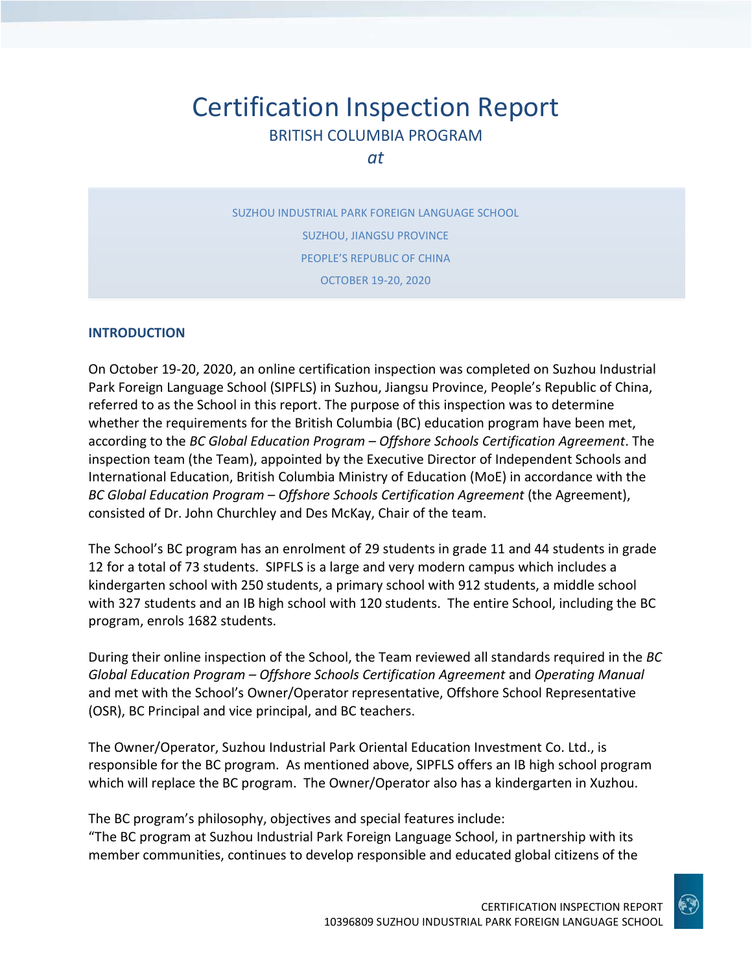# Certification Inspection Report BRITISH COLUMBIA PROGRAM

*at*

SUZHOU INDUSTRIAL PARK FOREIGN LANGUAGE SCHOOL SUZHOU, JIANGSU PROVINCE PEOPLE'S REPUBLIC OF CHINA OCTOBER 19-20, 2020

#### **INTRODUCTION**

On October 19-20, 2020, an online certification inspection was completed on Suzhou Industrial Park Foreign Language School (SIPFLS) in Suzhou, Jiangsu Province, People's Republic of China, referred to as the School in this report. The purpose of this inspection was to determine whether the requirements for the British Columbia (BC) education program have been met, according to the *BC Global Education Program – Offshore Schools Certification Agreement*. The inspection team (the Team), appointed by the Executive Director of Independent Schools and International Education, British Columbia Ministry of Education (MoE) in accordance with the *BC Global Education Program – Offshore Schools Certification Agreement* (the Agreement), consisted of Dr. John Churchley and Des McKay, Chair of the team.

The School's BC program has an enrolment of 29 students in grade 11 and 44 students in grade 12 for a total of 73 students. SIPFLS is a large and very modern campus which includes a kindergarten school with 250 students, a primary school with 912 students, a middle school with 327 students and an IB high school with 120 students. The entire School, including the BC program, enrols 1682 students.

During their online inspection of the School, the Team reviewed all standards required in the *BC Global Education Program – Offshore Schools Certification Agreement* and *Operating Manual*  and met with the School's Owner/Operator representative, Offshore School Representative (OSR), BC Principal and vice principal, and BC teachers.

The Owner/Operator, Suzhou Industrial Park Oriental Education Investment Co. Ltd., is responsible for the BC program. As mentioned above, SIPFLS offers an IB high school program which will replace the BC program. The Owner/Operator also has a kindergarten in Xuzhou.

The BC program's philosophy, objectives and special features include: "The BC program at Suzhou Industrial Park Foreign Language School, in partnership with its member communities, continues to develop responsible and educated global citizens of the

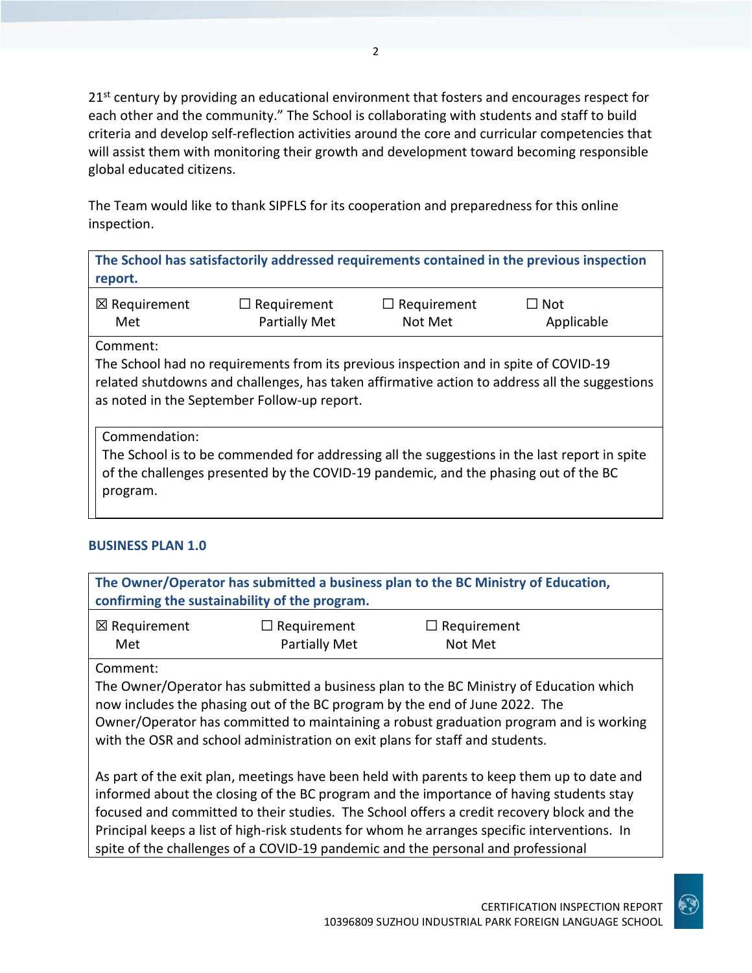$21<sup>st</sup>$  century by providing an educational environment that fosters and encourages respect for each other and the community." The School is collaborating with students and staff to build criteria and develop self-reflection activities around the core and curricular competencies that will assist them with monitoring their growth and development toward becoming responsible global educated citizens.

The Team would like to thank SIPFLS for its cooperation and preparedness for this online inspection.

**The School has satisfactorily addressed requirements contained in the previous inspection report.**

| ⊠ Requirement | $\Box$ Requirement   | $\Box$ Requirement | $\Box$ Not |
|---------------|----------------------|--------------------|------------|
| Met           | <b>Partially Met</b> | Not Met            | Applicable |

Comment:

The School had no requirements from its previous inspection and in spite of COVID-19 related shutdowns and challenges, has taken affirmative action to address all the suggestions as noted in the September Follow-up report.

Commendation:

The School is to be commended for addressing all the suggestions in the last report in spite of the challenges presented by the COVID-19 pandemic, and the phasing out of the BC program.

#### **BUSINESS PLAN 1.0**

**The Owner/Operator has submitted a business plan to the BC Ministry of Education, confirming the sustainability of the program.** ☒ Requirement Met ☐ Requirement Partially Met ☐ Requirement Not Met

Comment:

The Owner/Operator has submitted a business plan to the BC Ministry of Education which now includes the phasing out of the BC program by the end of June 2022. The Owner/Operator has committed to maintaining a robust graduation program and is working with the OSR and school administration on exit plans for staff and students.

As part of the exit plan, meetings have been held with parents to keep them up to date and informed about the closing of the BC program and the importance of having students stay focused and committed to their studies. The School offers a credit recovery block and the Principal keeps a list of high-risk students for whom he arranges specific interventions. In spite of the challenges of a COVID-19 pandemic and the personal and professional

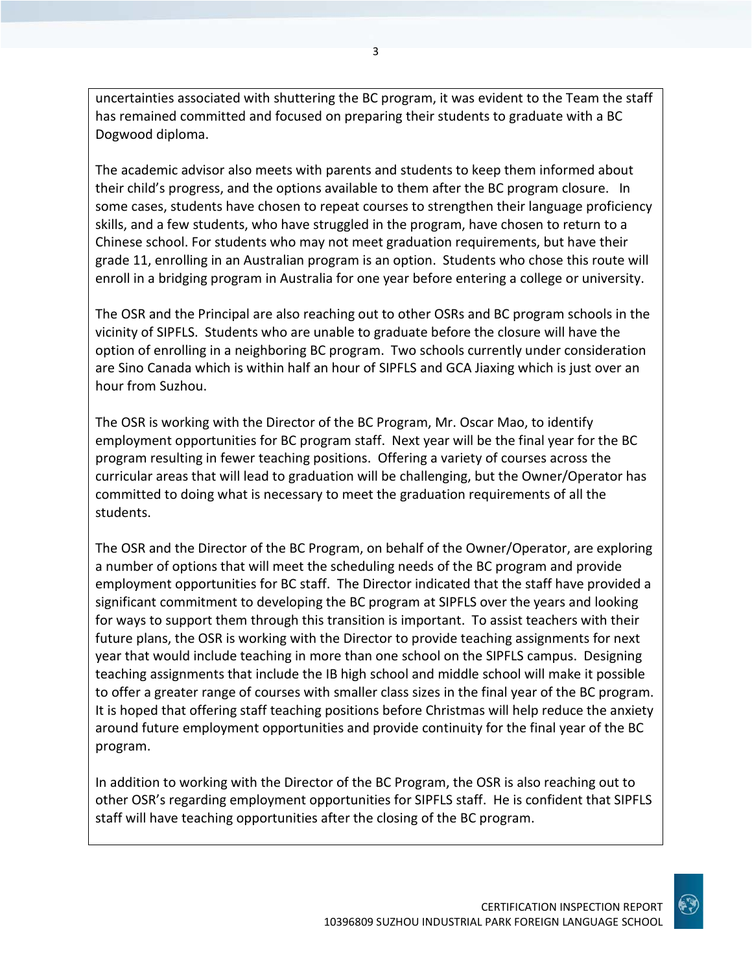uncertainties associated with shuttering the BC program, it was evident to the Team the staff has remained committed and focused on preparing their students to graduate with a BC Dogwood diploma.

The academic advisor also meets with parents and students to keep them informed about their child's progress, and the options available to them after the BC program closure. In some cases, students have chosen to repeat courses to strengthen their language proficiency skills, and a few students, who have struggled in the program, have chosen to return to a Chinese school. For students who may not meet graduation requirements, but have their grade 11, enrolling in an Australian program is an option. Students who chose this route will enroll in a bridging program in Australia for one year before entering a college or university.

The OSR and the Principal are also reaching out to other OSRs and BC program schools in the vicinity of SIPFLS. Students who are unable to graduate before the closure will have the option of enrolling in a neighboring BC program. Two schools currently under consideration are Sino Canada which is within half an hour of SIPFLS and GCA Jiaxing which is just over an hour from Suzhou.

The OSR is working with the Director of the BC Program, Mr. Oscar Mao, to identify employment opportunities for BC program staff. Next year will be the final year for the BC program resulting in fewer teaching positions. Offering a variety of courses across the curricular areas that will lead to graduation will be challenging, but the Owner/Operator has committed to doing what is necessary to meet the graduation requirements of all the students.

The OSR and the Director of the BC Program, on behalf of the Owner/Operator, are exploring a number of options that will meet the scheduling needs of the BC program and provide employment opportunities for BC staff. The Director indicated that the staff have provided a significant commitment to developing the BC program at SIPFLS over the years and looking for ways to support them through this transition is important. To assist teachers with their future plans, the OSR is working with the Director to provide teaching assignments for next year that would include teaching in more than one school on the SIPFLS campus. Designing teaching assignments that include the IB high school and middle school will make it possible to offer a greater range of courses with smaller class sizes in the final year of the BC program. It is hoped that offering staff teaching positions before Christmas will help reduce the anxiety around future employment opportunities and provide continuity for the final year of the BC program.

In addition to working with the Director of the BC Program, the OSR is also reaching out to other OSR's regarding employment opportunities for SIPFLS staff. He is confident that SIPFLS staff will have teaching opportunities after the closing of the BC program.

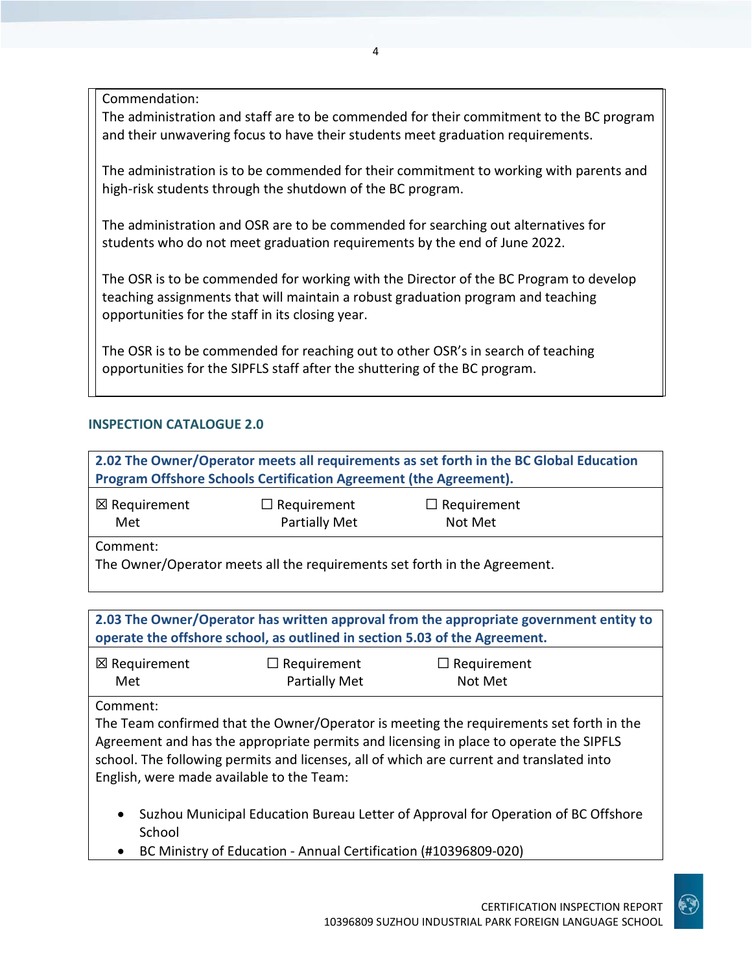Commendation:

The administration and staff are to be commended for their commitment to the BC program and their unwavering focus to have their students meet graduation requirements.

The administration is to be commended for their commitment to working with parents and high-risk students through the shutdown of the BC program.

The administration and OSR are to be commended for searching out alternatives for students who do not meet graduation requirements by the end of June 2022.

The OSR is to be commended for working with the Director of the BC Program to develop teaching assignments that will maintain a robust graduation program and teaching opportunities for the staff in its closing year.

The OSR is to be commended for reaching out to other OSR's in search of teaching opportunities for the SIPFLS staff after the shuttering of the BC program.

#### **INSPECTION CATALOGUE 2.0**

**2.02 The Owner/Operator meets all requirements as set forth in the BC Global Education Program Offshore Schools Certification Agreement (the Agreement).**

| ⊠ Requirement | $\Box$ Requirement   | $\Box$ Requirement |  |
|---------------|----------------------|--------------------|--|
| Met           | <b>Partially Met</b> | Not Met            |  |
| Comment:      |                      |                    |  |

The Owner/Operator meets all the requirements set forth in the Agreement.

**2.03 The Owner/Operator has written approval from the appropriate government entity to operate the offshore school, as outlined in section 5.03 of the Agreement.** ☒ Requirement Met ☐ Requirement Partially Met ☐ Requirement Not Met

Comment:

The Team confirmed that the Owner/Operator is meeting the requirements set forth in the Agreement and has the appropriate permits and licensing in place to operate the SIPFLS school. The following permits and licenses, all of which are current and translated into English, were made available to the Team:

- Suzhou Municipal Education Bureau Letter of Approval for Operation of BC Offshore School
- BC Ministry of Education Annual Certification (#10396809-020)

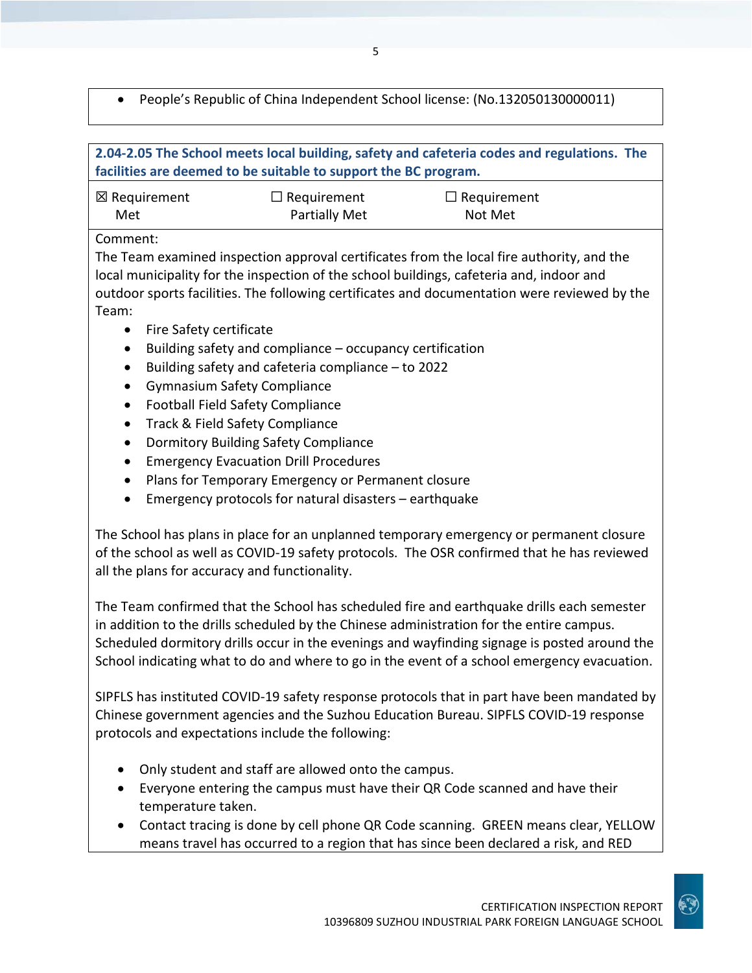• People's Republic of China Independent School license: (No.132050130000011)

| 2.04-2.05 The School meets local building, safety and cafeteria codes and regulations. The<br>facilities are deemed to be suitable to support the BC program. |                    |                    |  |
|---------------------------------------------------------------------------------------------------------------------------------------------------------------|--------------------|--------------------|--|
| ⊠ Requirement                                                                                                                                                 | $\Box$ Requirement | $\Box$ Requirement |  |
| Met                                                                                                                                                           | Partially Met      | Not Met            |  |

#### Comment:

The Team examined inspection approval certificates from the local fire authority, and the local municipality for the inspection of the school buildings, cafeteria and, indoor and outdoor sports facilities. The following certificates and documentation were reviewed by the Team:

- Fire Safety certificate
- Building safety and compliance occupancy certification
- Building safety and cafeteria compliance to 2022
- Gymnasium Safety Compliance
- Football Field Safety Compliance
- Track & Field Safety Compliance
- Dormitory Building Safety Compliance
- Emergency Evacuation Drill Procedures
- Plans for Temporary Emergency or Permanent closure
- Emergency protocols for natural disasters earthquake

The School has plans in place for an unplanned temporary emergency or permanent closure of the school as well as COVID-19 safety protocols. The OSR confirmed that he has reviewed all the plans for accuracy and functionality.

The Team confirmed that the School has scheduled fire and earthquake drills each semester in addition to the drills scheduled by the Chinese administration for the entire campus. Scheduled dormitory drills occur in the evenings and wayfinding signage is posted around the School indicating what to do and where to go in the event of a school emergency evacuation.

SIPFLS has instituted COVID-19 safety response protocols that in part have been mandated by Chinese government agencies and the Suzhou Education Bureau. SIPFLS COVID-19 response protocols and expectations include the following:

- Only student and staff are allowed onto the campus.
- Everyone entering the campus must have their QR Code scanned and have their temperature taken.
- Contact tracing is done by cell phone QR Code scanning. GREEN means clear, YELLOW means travel has occurred to a region that has since been declared a risk, and RED

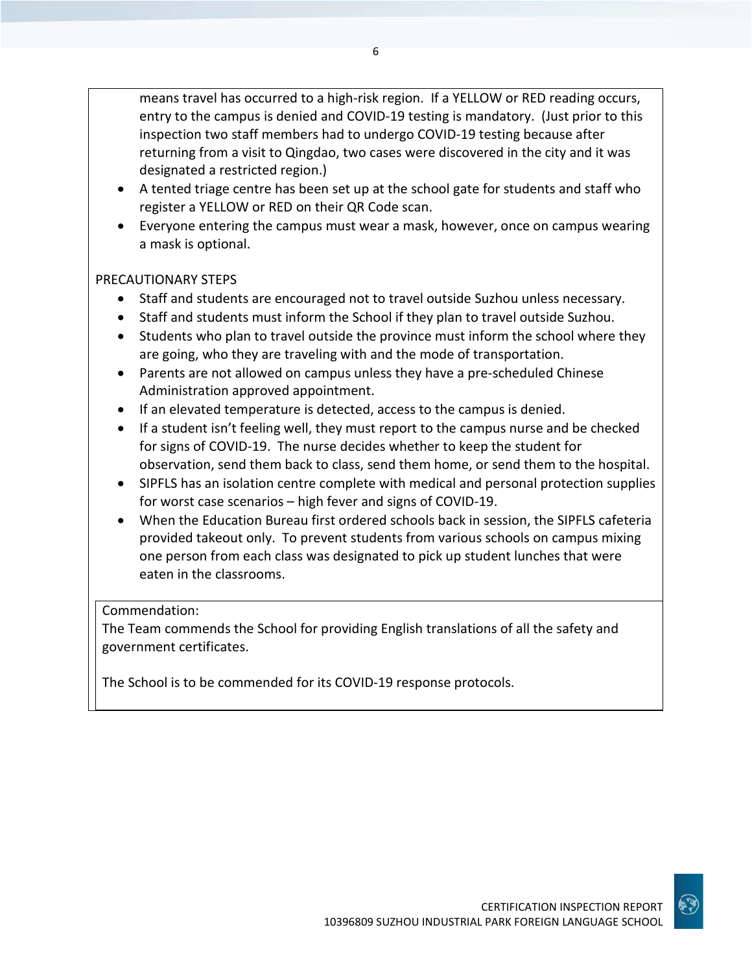means travel has occurred to a high-risk region. If a YELLOW or RED reading occurs, entry to the campus is denied and COVID-19 testing is mandatory. (Just prior to this inspection two staff members had to undergo COVID-19 testing because after returning from a visit to Qingdao, two cases were discovered in the city and it was designated a restricted region.)

- A tented triage centre has been set up at the school gate for students and staff who register a YELLOW or RED on their QR Code scan.
- Everyone entering the campus must wear a mask, however, once on campus wearing a mask is optional.

#### PRECAUTIONARY STEPS

- Staff and students are encouraged not to travel outside Suzhou unless necessary.
- Staff and students must inform the School if they plan to travel outside Suzhou.
- Students who plan to travel outside the province must inform the school where they are going, who they are traveling with and the mode of transportation.
- Parents are not allowed on campus unless they have a pre-scheduled Chinese Administration approved appointment.
- If an elevated temperature is detected, access to the campus is denied.
- If a student isn't feeling well, they must report to the campus nurse and be checked for signs of COVID-19. The nurse decides whether to keep the student for observation, send them back to class, send them home, or send them to the hospital.
- SIPFLS has an isolation centre complete with medical and personal protection supplies for worst case scenarios – high fever and signs of COVID-19.
- When the Education Bureau first ordered schools back in session, the SIPFLS cafeteria provided takeout only. To prevent students from various schools on campus mixing one person from each class was designated to pick up student lunches that were eaten in the classrooms.

#### Commendation:

The Team commends the School for providing English translations of all the safety and government certificates.

The School is to be commended for its COVID-19 response protocols.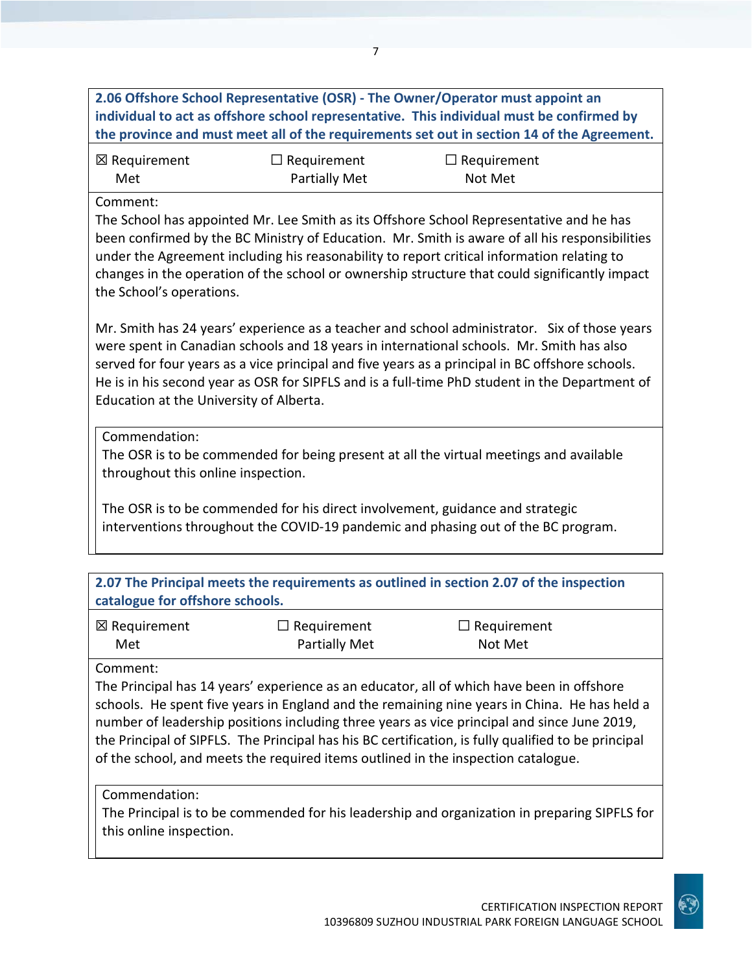**2.06 Offshore School Representative (OSR) - The Owner/Operator must appoint an individual to act as offshore school representative. This individual must be confirmed by the province and must meet all of the requirements set out in section 14 of the Agreement.**

| ⊠ Requirement | $\Box$ Requirement   | $\Box$ Requirement |
|---------------|----------------------|--------------------|
| Met           | <b>Partially Met</b> | Not Met            |

#### Comment:

The School has appointed Mr. Lee Smith as its Offshore School Representative and he has been confirmed by the BC Ministry of Education. Mr. Smith is aware of all his responsibilities under the Agreement including his reasonability to report critical information relating to changes in the operation of the school or ownership structure that could significantly impact the School's operations.

Mr. Smith has 24 years' experience as a teacher and school administrator. Six of those years were spent in Canadian schools and 18 years in international schools. Mr. Smith has also served for four years as a vice principal and five years as a principal in BC offshore schools. He is in his second year as OSR for SIPFLS and is a full-time PhD student in the Department of Education at the University of Alberta.

#### Commendation:

The OSR is to be commended for being present at all the virtual meetings and available throughout this online inspection.

The OSR is to be commended for his direct involvement, guidance and strategic interventions throughout the COVID-19 pandemic and phasing out of the BC program.

| 2.07 The Principal meets the requirements as outlined in section 2.07 of the inspection |
|-----------------------------------------------------------------------------------------|
| catalogue for offshore schools.                                                         |

| ⊠ Requirement | $\Box$ Requirement   | $\Box$ Requirement |
|---------------|----------------------|--------------------|
| Met           | <b>Partially Met</b> | Not Met            |

#### Comment:

The Principal has 14 years' experience as an educator, all of which have been in offshore schools. He spent five years in England and the remaining nine years in China. He has held a number of leadership positions including three years as vice principal and since June 2019, the Principal of SIPFLS. The Principal has his BC certification, is fully qualified to be principal of the school, and meets the required items outlined in the inspection catalogue.

#### Commendation:

The Principal is to be commended for his leadership and organization in preparing SIPFLS for this online inspection.

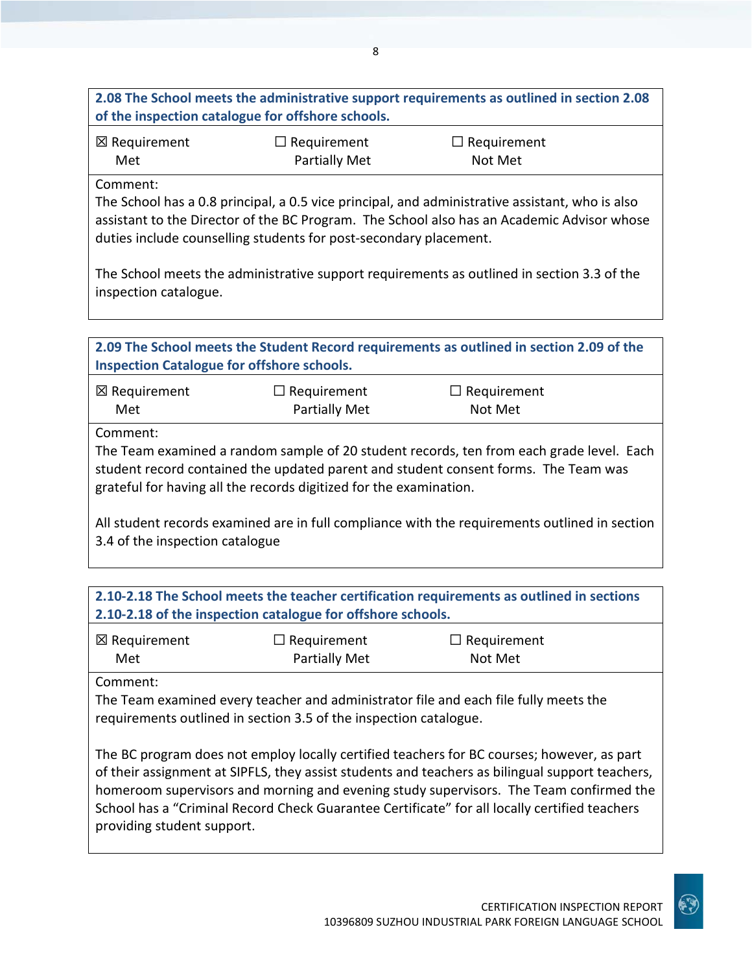**2.08 The School meets the administrative support requirements as outlined in section 2.08 of the inspection catalogue for offshore schools.**

| ⊠ Requirement | $\Box$ Requirement   | $\Box$ Requirement |
|---------------|----------------------|--------------------|
| Met           | <b>Partially Met</b> | Not Met            |

Comment:

The School has a 0.8 principal, a 0.5 vice principal, and administrative assistant, who is also assistant to the Director of the BC Program. The School also has an Academic Advisor whose duties include counselling students for post-secondary placement.

The School meets the administrative support requirements as outlined in section 3.3 of the inspection catalogue.

| 2.09 The School meets the Student Record requirements as outlined in section 2.09 of the |  |
|------------------------------------------------------------------------------------------|--|
| <b>Inspection Catalogue for offshore schools.</b>                                        |  |

| ⊠ Requirement | $\Box$ Requirement | $\Box$ Requirement |
|---------------|--------------------|--------------------|
| Met           | Partially Met      | Not Met            |

Comment:

The Team examined a random sample of 20 student records, ten from each grade level. Each student record contained the updated parent and student consent forms. The Team was grateful for having all the records digitized for the examination.

All student records examined are in full compliance with the requirements outlined in section 3.4 of the inspection catalogue

| 2.10-2.18 The School meets the teacher certification requirements as outlined in sections |
|-------------------------------------------------------------------------------------------|
| 2.10-2.18 of the inspection catalogue for offshore schools.                               |

| ⊠ Requirement | $\Box$ Requirement | $\Box$ Requirement |
|---------------|--------------------|--------------------|
| Met           | Partially Met      | Not Met            |

Comment:

The Team examined every teacher and administrator file and each file fully meets the requirements outlined in section 3.5 of the inspection catalogue.

The BC program does not employ locally certified teachers for BC courses; however, as part of their assignment at SIPFLS, they assist students and teachers as bilingual support teachers, homeroom supervisors and morning and evening study supervisors. The Team confirmed the School has a "Criminal Record Check Guarantee Certificate" for all locally certified teachers providing student support.

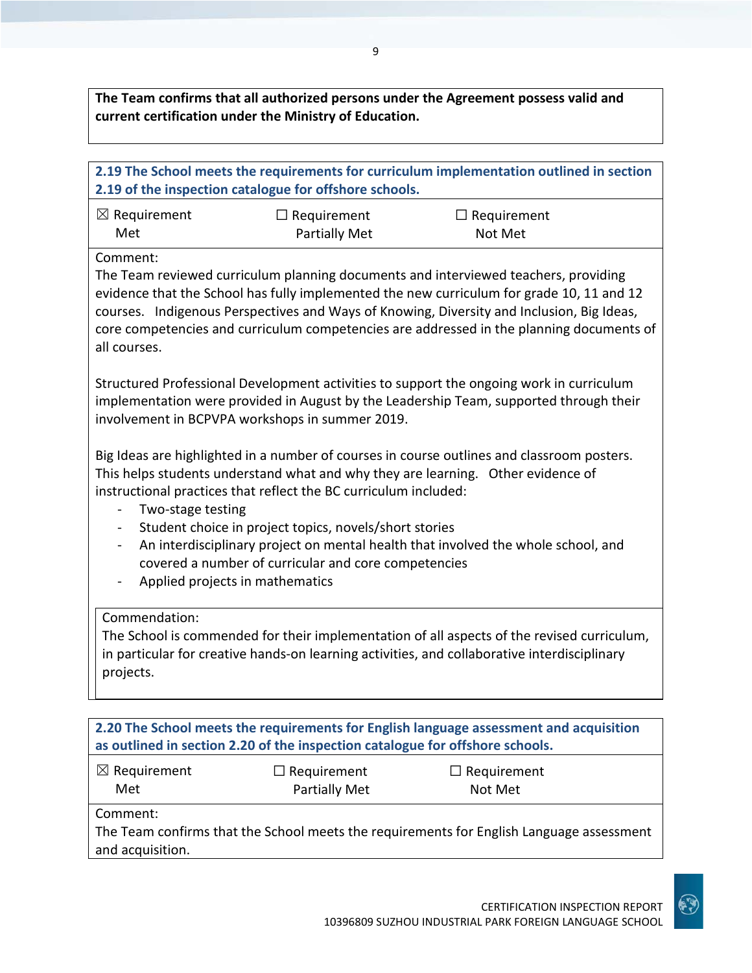**The Team confirms that all authorized persons under the Agreement possess valid and current certification under the Ministry of Education.**

| 2.19 The School meets the requirements for curriculum implementation outlined in section<br>2.19 of the inspection catalogue for offshore schools.                                                                                                                                                                                                                                                    |                                                                                                                                                                                                                                       |                                                                                                                                                                                                                                                                     |  |  |
|-------------------------------------------------------------------------------------------------------------------------------------------------------------------------------------------------------------------------------------------------------------------------------------------------------------------------------------------------------------------------------------------------------|---------------------------------------------------------------------------------------------------------------------------------------------------------------------------------------------------------------------------------------|---------------------------------------------------------------------------------------------------------------------------------------------------------------------------------------------------------------------------------------------------------------------|--|--|
| $\boxtimes$ Requirement<br>Met                                                                                                                                                                                                                                                                                                                                                                        | $\Box$ Requirement<br><b>Partially Met</b>                                                                                                                                                                                            | $\Box$ Requirement<br>Not Met                                                                                                                                                                                                                                       |  |  |
| Comment:<br>The Team reviewed curriculum planning documents and interviewed teachers, providing<br>evidence that the School has fully implemented the new curriculum for grade 10, 11 and 12<br>courses. Indigenous Perspectives and Ways of Knowing, Diversity and Inclusion, Big Ideas,<br>core competencies and curriculum competencies are addressed in the planning documents of<br>all courses. |                                                                                                                                                                                                                                       |                                                                                                                                                                                                                                                                     |  |  |
|                                                                                                                                                                                                                                                                                                                                                                                                       | Structured Professional Development activities to support the ongoing work in curriculum<br>implementation were provided in August by the Leadership Team, supported through their<br>involvement in BCPVPA workshops in summer 2019. |                                                                                                                                                                                                                                                                     |  |  |
| Two-stage testing<br>$\overline{\phantom{a}}$<br>$\overline{\phantom{0}}$<br>Applied projects in mathematics<br>$\blacksquare$                                                                                                                                                                                                                                                                        | instructional practices that reflect the BC curriculum included:<br>Student choice in project topics, novels/short stories<br>covered a number of curricular and core competencies                                                    | Big Ideas are highlighted in a number of courses in course outlines and classroom posters.<br>This helps students understand what and why they are learning. Other evidence of<br>An interdisciplinary project on mental health that involved the whole school, and |  |  |
| Commendation:<br>The School is commended for their implementation of all aspects of the revised curriculum,<br>in particular for creative hands-on learning activities, and collaborative interdisciplinary<br>projects.                                                                                                                                                                              |                                                                                                                                                                                                                                       |                                                                                                                                                                                                                                                                     |  |  |
| 2.20 The School meets the requirements for English language assessment and acquisition<br>as outlined in section 2.20 of the inspection catalogue for offshore schools.                                                                                                                                                                                                                               |                                                                                                                                                                                                                                       |                                                                                                                                                                                                                                                                     |  |  |
| $\boxtimes$ Requirement<br>Met                                                                                                                                                                                                                                                                                                                                                                        | $\Box$ Requirement<br>Partially Met                                                                                                                                                                                                   | Requirement<br>Not Met                                                                                                                                                                                                                                              |  |  |
| Comment:<br>The Team confirms that the School meets the requirements for English Language assessment<br>and acquisition.                                                                                                                                                                                                                                                                              |                                                                                                                                                                                                                                       |                                                                                                                                                                                                                                                                     |  |  |

CERTIFICATION INSPECTION REPORT 10396809 SUZHOU INDUSTRIAL PARK FOREIGN LANGUAGE SCHOOL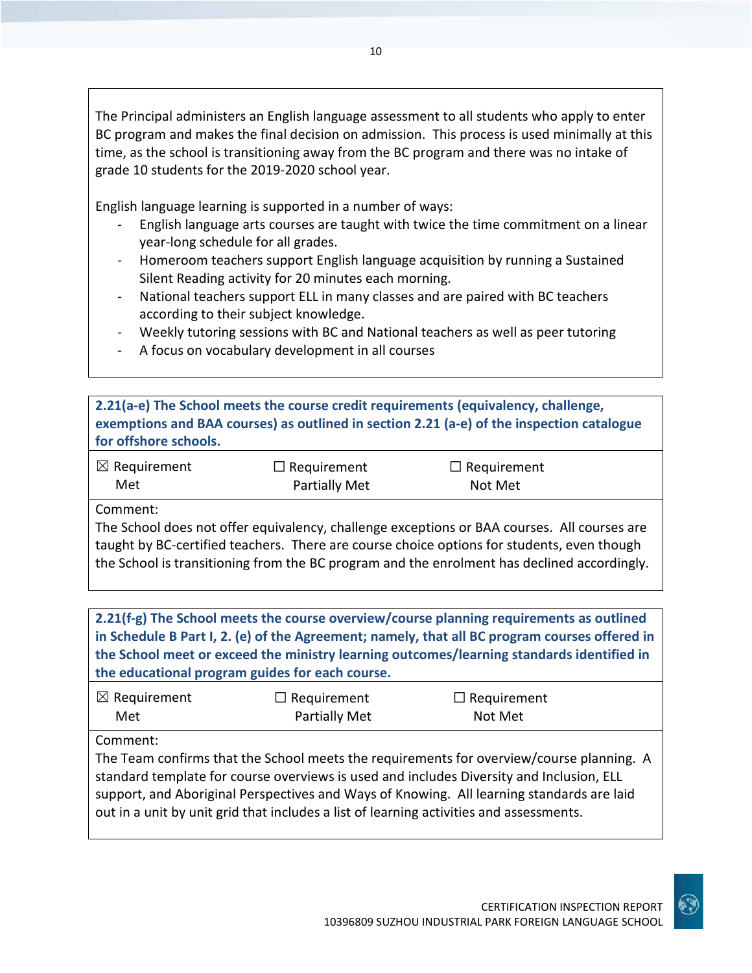The Principal administers an English language assessment to all students who apply to enter BC program and makes the final decision on admission. This process is used minimally at this time, as the school is transitioning away from the BC program and there was no intake of grade 10 students for the 2019-2020 school year.

English language learning is supported in a number of ways:

- English language arts courses are taught with twice the time commitment on a linear year-long schedule for all grades.
- Homeroom teachers support English language acquisition by running a Sustained Silent Reading activity for 20 minutes each morning.
- National teachers support ELL in many classes and are paired with BC teachers according to their subject knowledge.
- Weekly tutoring sessions with BC and National teachers as well as peer tutoring
- A focus on vocabulary development in all courses

**2.21(a-e) The School meets the course credit requirements (equivalency, challenge, exemptions and BAA courses) as outlined in section 2.21 (a-e) of the inspection catalogue for offshore schools.**

| $\boxtimes$ Requirement | $\Box$ Requirement | $\Box$ Requirement |
|-------------------------|--------------------|--------------------|
| Met                     | Partially Met      | Not Met            |

Comment:

The School does not offer equivalency, challenge exceptions or BAA courses. All courses are taught by BC-certified teachers. There are course choice options for students, even though the School is transitioning from the BC program and the enrolment has declined accordingly.

**2.21(f-g) The School meets the course overview/course planning requirements as outlined in Schedule B Part I, 2. (e) of the Agreement; namely, that all BC program courses offered in the School meet or exceed the ministry learning outcomes/learning standards identified in the educational program guides for each course.**

| $\boxtimes$ Requirement | $\Box$ Requirement   | $\Box$ Requirement |
|-------------------------|----------------------|--------------------|
| Met                     | <b>Partially Met</b> | Not Met            |

Comment:

The Team confirms that the School meets the requirements for overview/course planning. A standard template for course overviews is used and includes Diversity and Inclusion, ELL support, and Aboriginal Perspectives and Ways of Knowing. All learning standards are laid out in a unit by unit grid that includes a list of learning activities and assessments.

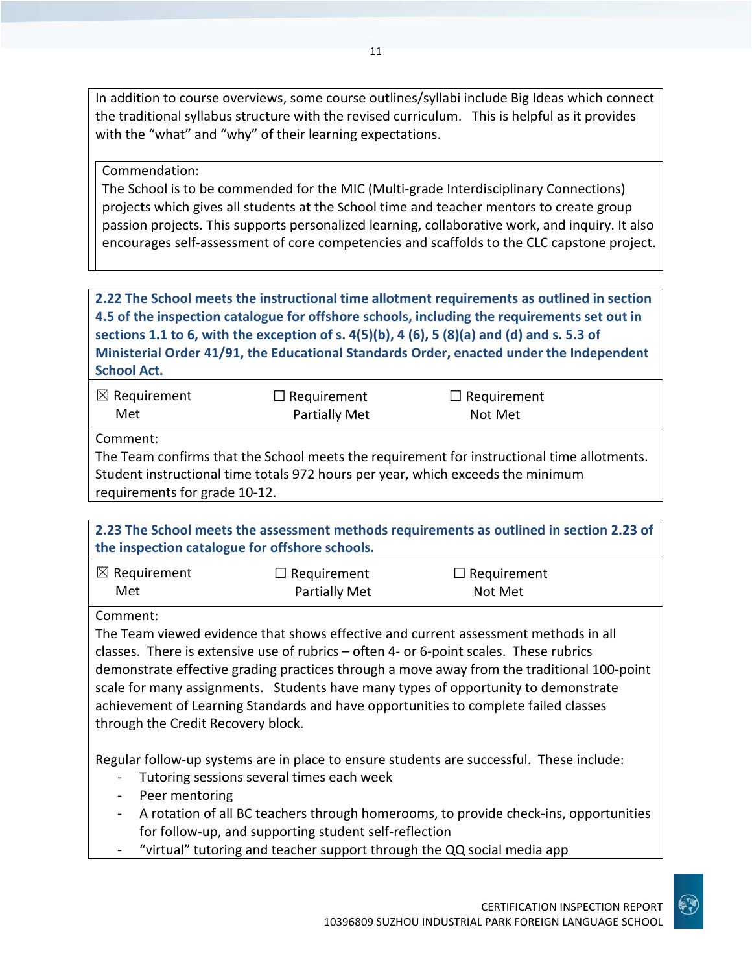In addition to course overviews, some course outlines/syllabi include Big Ideas which connect the traditional syllabus structure with the revised curriculum. This is helpful as it provides with the "what" and "why" of their learning expectations.

#### Commendation:

The School is to be commended for the MIC (Multi-grade Interdisciplinary Connections) projects which gives all students at the School time and teacher mentors to create group passion projects. This supports personalized learning, collaborative work, and inquiry. It also encourages self-assessment of core competencies and scaffolds to the CLC capstone project.

**2.22 The School meets the instructional time allotment requirements as outlined in section 4.5 of the inspection catalogue for offshore schools, including the requirements set out in sections 1.1 to 6, with the exception of s. 4(5)(b), 4 (6), 5 (8)(a) and (d) and s. 5.3 of Ministerial Order 41/91, the Educational Standards Order, enacted under the Independent School Act.**

| $\boxtimes$ Requirement | $\Box$ Requirement   | $\Box$ Requirement |  |
|-------------------------|----------------------|--------------------|--|
| Met                     | <b>Partially Met</b> | Not Met            |  |

Comment:

The Team confirms that the School meets the requirement for instructional time allotments. Student instructional time totals 972 hours per year, which exceeds the minimum requirements for grade 10-12.

| 2.23 The School meets the assessment methods requirements as outlined in section 2.23 of |
|------------------------------------------------------------------------------------------|
| the inspection catalogue for offshore schools.                                           |
|                                                                                          |

| $\boxtimes$ Requirement | $\Box$ Requirement   | $\Box$ Requirement |  |
|-------------------------|----------------------|--------------------|--|
| Met                     | <b>Partially Met</b> | Not Met            |  |

Comment:

The Team viewed evidence that shows effective and current assessment methods in all classes. There is extensive use of rubrics – often 4- or 6-point scales. These rubrics demonstrate effective grading practices through a move away from the traditional 100-point scale for many assignments. Students have many types of opportunity to demonstrate achievement of Learning Standards and have opportunities to complete failed classes through the Credit Recovery block.

Regular follow-up systems are in place to ensure students are successful. These include:

- Tutoring sessions several times each week
- Peer mentoring
- A rotation of all BC teachers through homerooms, to provide check-ins, opportunities for follow-up, and supporting student self-reflection
- "virtual" tutoring and teacher support through the QQ social media app

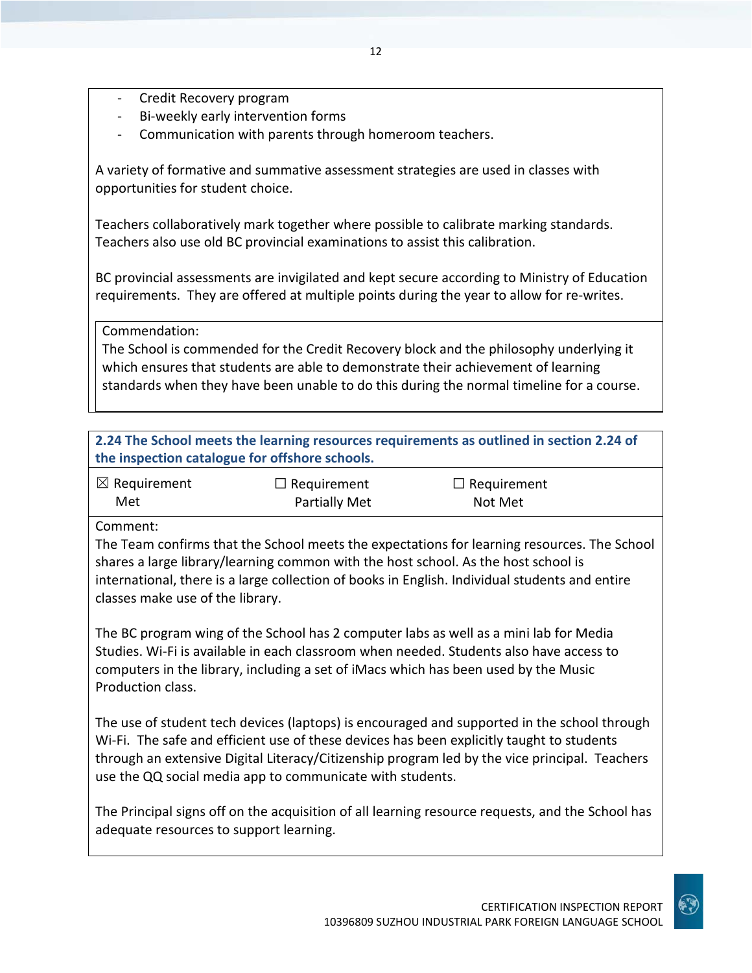- Credit Recovery program
- Bi-weekly early intervention forms
- Communication with parents through homeroom teachers.

A variety of formative and summative assessment strategies are used in classes with opportunities for student choice.

Teachers collaboratively mark together where possible to calibrate marking standards. Teachers also use old BC provincial examinations to assist this calibration.

BC provincial assessments are invigilated and kept secure according to Ministry of Education requirements. They are offered at multiple points during the year to allow for re-writes.

Commendation:

The School is commended for the Credit Recovery block and the philosophy underlying it which ensures that students are able to demonstrate their achievement of learning standards when they have been unable to do this during the normal timeline for a course.

| 2.24 The School meets the learning resources requirements as outlined in section 2.24 of |
|------------------------------------------------------------------------------------------|
| the inspection catalogue for offshore schools.                                           |

| $\boxtimes$ Requirement | $\Box$ Requirement | $\Box$ Requirement |
|-------------------------|--------------------|--------------------|
| Met                     | Partially Met      | Not Met            |

Comment:

The Team confirms that the School meets the expectations for learning resources. The School shares a large library/learning common with the host school. As the host school is international, there is a large collection of books in English. Individual students and entire classes make use of the library.

The BC program wing of the School has 2 computer labs as well as a mini lab for Media Studies. Wi-Fi is available in each classroom when needed. Students also have access to computers in the library, including a set of iMacs which has been used by the Music Production class.

The use of student tech devices (laptops) is encouraged and supported in the school through Wi-Fi. The safe and efficient use of these devices has been explicitly taught to students through an extensive Digital Literacy/Citizenship program led by the vice principal. Teachers use the QQ social media app to communicate with students.

The Principal signs off on the acquisition of all learning resource requests, and the School has adequate resources to support learning.

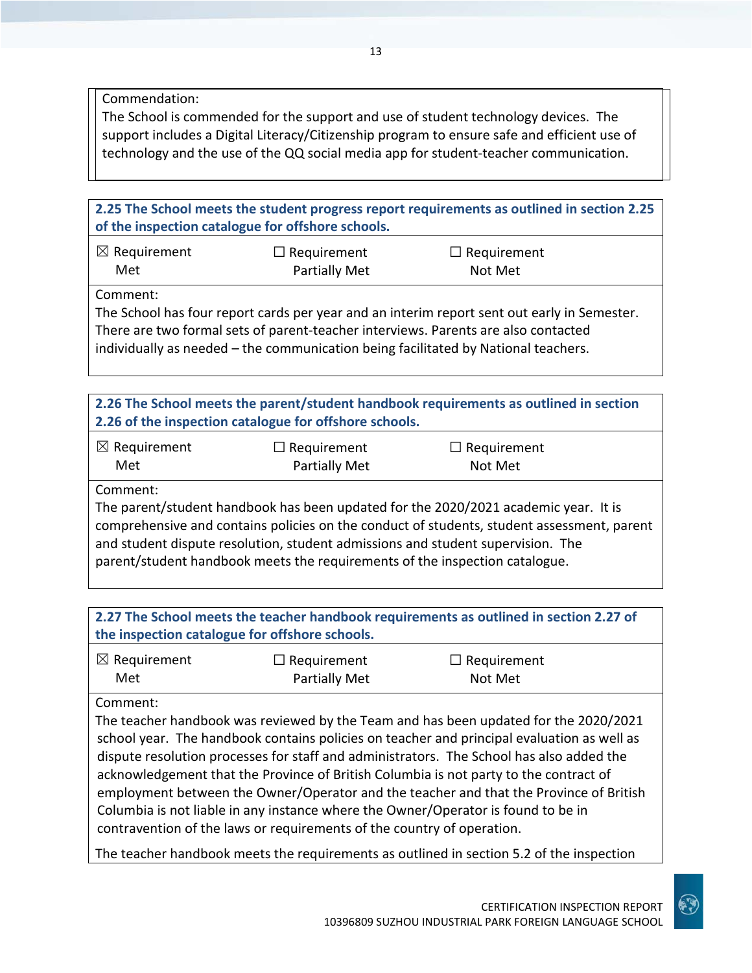Commendation:

The School is commended for the support and use of student technology devices. The support includes a Digital Literacy/Citizenship program to ensure safe and efficient use of technology and the use of the QQ social media app for student-teacher communication.

**2.25 The School meets the student progress report requirements as outlined in section 2.25 of the inspection catalogue for offshore schools.**

| $\boxtimes$ Requirement | $\Box$ Requirement   | $\Box$ Requirement |  |
|-------------------------|----------------------|--------------------|--|
| Met                     | <b>Partially Met</b> | Not Met            |  |

Comment:

The School has four report cards per year and an interim report sent out early in Semester. There are two formal sets of parent-teacher interviews. Parents are also contacted individually as needed – the communication being facilitated by National teachers.

**2.26 The School meets the parent/student handbook requirements as outlined in section 2.26 of the inspection catalogue for offshore schools.**

| $\boxtimes$ Requirement | $\Box$ Requirement   | $\Box$ Requirement |
|-------------------------|----------------------|--------------------|
| Met                     | <b>Partially Met</b> | Not Met            |

Comment:

The parent/student handbook has been updated for the 2020/2021 academic year. It is comprehensive and contains policies on the conduct of students, student assessment, parent and student dispute resolution, student admissions and student supervision. The parent/student handbook meets the requirements of the inspection catalogue.

**2.27 The School meets the teacher handbook requirements as outlined in section 2.27 of the inspection catalogue for offshore schools.**

| $\boxtimes$ Requirement | $\Box$ Requirement   | $\Box$ Requirement |
|-------------------------|----------------------|--------------------|
| Met                     | <b>Partially Met</b> | Not Met            |

Comment:

The teacher handbook was reviewed by the Team and has been updated for the 2020/2021 school year. The handbook contains policies on teacher and principal evaluation as well as dispute resolution processes for staff and administrators. The School has also added the acknowledgement that the Province of British Columbia is not party to the contract of employment between the Owner/Operator and the teacher and that the Province of British Columbia is not liable in any instance where the Owner/Operator is found to be in contravention of the laws or requirements of the country of operation.

The teacher handbook meets the requirements as outlined in section 5.2 of the inspection

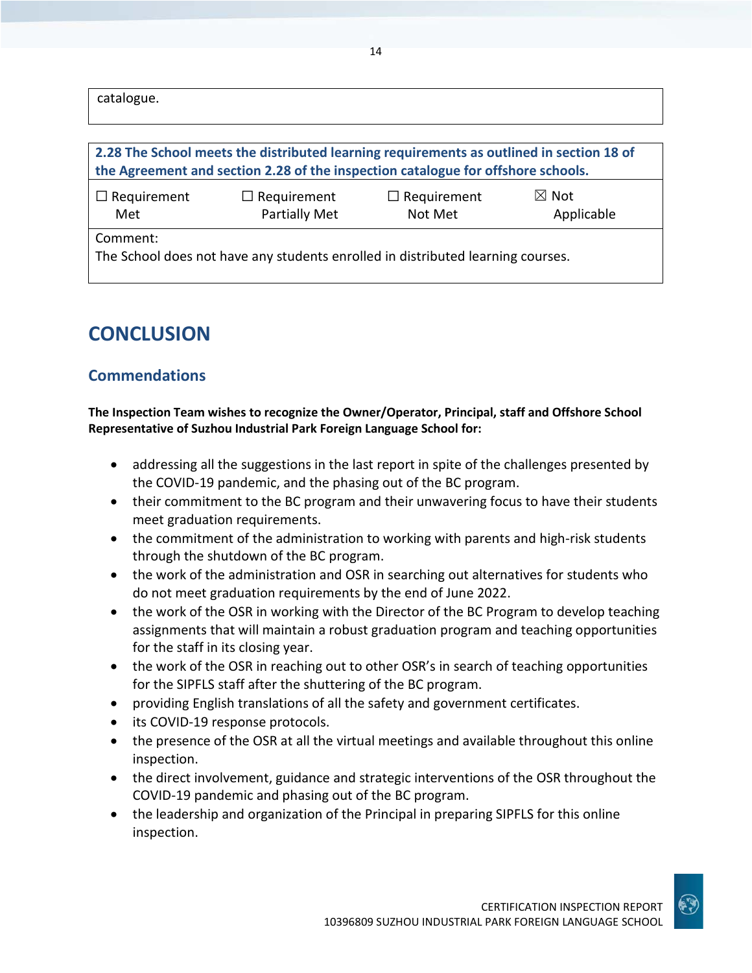catalogue.

| 2.28 The School meets the distributed learning requirements as outlined in section 18 of    |                                     |                               |                               |
|---------------------------------------------------------------------------------------------|-------------------------------------|-------------------------------|-------------------------------|
| the Agreement and section 2.28 of the inspection catalogue for offshore schools.            |                                     |                               |                               |
| $\Box$ Requirement<br>Met                                                                   | $\Box$ Requirement<br>Partially Met | $\Box$ Requirement<br>Not Met | $\boxtimes$ Not<br>Applicable |
| Comment:<br>The School does not have any students enrolled in distributed learning courses. |                                     |                               |                               |

## **CONCLUSION**

### **Commendations**

**The Inspection Team wishes to recognize the Owner/Operator, Principal, staff and Offshore School Representative of Suzhou Industrial Park Foreign Language School for:**

- addressing all the suggestions in the last report in spite of the challenges presented by the COVID-19 pandemic, and the phasing out of the BC program.
- their commitment to the BC program and their unwavering focus to have their students meet graduation requirements.
- the commitment of the administration to working with parents and high-risk students through the shutdown of the BC program.
- the work of the administration and OSR in searching out alternatives for students who do not meet graduation requirements by the end of June 2022.
- the work of the OSR in working with the Director of the BC Program to develop teaching assignments that will maintain a robust graduation program and teaching opportunities for the staff in its closing year.
- the work of the OSR in reaching out to other OSR's in search of teaching opportunities for the SIPFLS staff after the shuttering of the BC program.
- providing English translations of all the safety and government certificates.
- its COVID-19 response protocols.
- the presence of the OSR at all the virtual meetings and available throughout this online inspection.
- the direct involvement, guidance and strategic interventions of the OSR throughout the COVID-19 pandemic and phasing out of the BC program.
- the leadership and organization of the Principal in preparing SIPFLS for this online inspection.